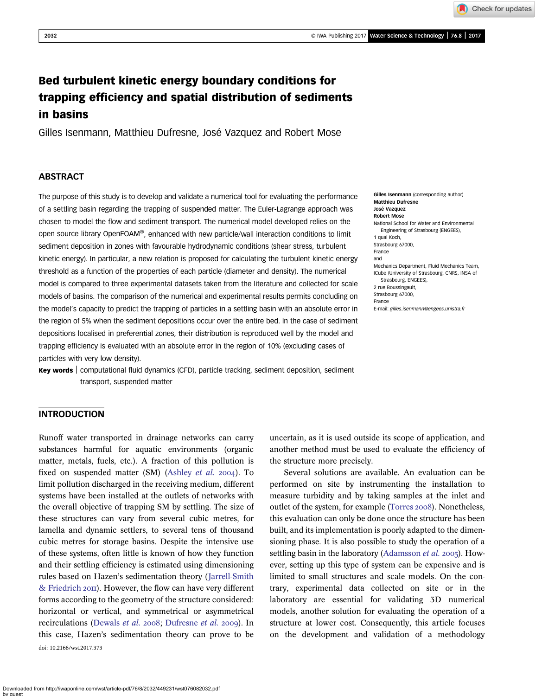Check for updates

# Bed turbulent kinetic energy boundary conditions for trapping efficiency and spatial distribution of sediments in basins

Gilles Isenmann, Matthieu Dufresne, José Vazquez and Robert Mose

# **ABSTRACT**

The purpose of this study is to develop and validate a numerical tool for evaluating the performance of a settling basin regarding the trapping of suspended matter. The Euler-Lagrange approach was chosen to model the flow and sediment transport. The numerical model developed relies on the open source library OpenFOAM®, enhanced with new particle/wall interaction conditions to limit sediment deposition in zones with favourable hydrodynamic conditions (shear stress, turbulent kinetic energy). In particular, a new relation is proposed for calculating the turbulent kinetic energy threshold as a function of the properties of each particle (diameter and density). The numerical model is compared to three experimental datasets taken from the literature and collected for scale models of basins. The comparison of the numerical and experimental results permits concluding on the model's capacity to predict the trapping of particles in a settling basin with an absolute error in the region of 5% when the sediment depositions occur over the entire bed. In the case of sediment depositions localised in preferential zones, their distribution is reproduced well by the model and trapping efficiency is evaluated with an absolute error in the region of 10% (excluding cases of particles with very low density).

Key words | computational fluid dynamics (CFD), particle tracking, sediment deposition, sediment transport, suspended matter

#### Matthieu Dufresne José Vazquez Robert Mose National School for Water and Environmental Engineering of Strasbourg (ENGEES), 1 quai Koch, Strasbourg 67000, France and Mechanics Department, Fluid Mechanics Team, ICube (University of Strasbourg, CNRS, INSA of Strasbourg, ENGEES), 2 rue Boussingault, Strasbourg 67000, France E-mail: [gilles.isenmann@engees.unistra.fr](mailto:gilles.isenmann@engees.unistra.fr)

Gilles Isenmann (corresponding author)

# INTRODUCTION

Runoff water transported in drainage networks can carry substances harmful for aquatic environments (organic matter, metals, fuels, etc.). A fraction of this pollution is fixed on suspended matter (SM) [\(Ashley](#page-11-0) et al. 2004). To limit pollution discharged in the receiving medium, different systems have been installed at the outlets of networks with the overall objective of trapping SM by settling. The size of these structures can vary from several cubic metres, for lamella and dynamic settlers, to several tens of thousand cubic metres for storage basins. Despite the intensive use of these systems, often little is known of how they function and their settling efficiency is estimated using dimensioning rules based on Hazen's sedimentation theory ([Jarrell-Smith](#page-11-0) [& Friedrich](#page-11-0) 2011). However, the flow can have very different forms according to the geometry of the structure considered: horizontal or vertical, and symmetrical or asymmetrical recirculations ([Dewals](#page-11-0) et al. 2008; [Dufresne](#page-11-0) et al. 2009). In this case, Hazen's sedimentation theory can prove to be doi: 10.2166/wst.2017.373

uncertain, as it is used outside its scope of application, and another method must be used to evaluate the efficiency of the structure more precisely.

Several solutions are available. An evaluation can be performed on site by instrumenting the installation to measure turbidity and by taking samples at the inlet and outlet of the system, for example ([Torres](#page-11-0) 2008). Nonetheless, this evaluation can only be done once the structure has been built, and its implementation is poorly adapted to the dimensioning phase. It is also possible to study the operation of a settling basin in the laboratory [\(Adamsson](#page-11-0) et al. 2005). However, setting up this type of system can be expensive and is limited to small structures and scale models. On the contrary, experimental data collected on site or in the laboratory are essential for validating 3D numerical models, another solution for evaluating the operation of a structure at lower cost. Consequently, this article focuses on the development and validation of a methodology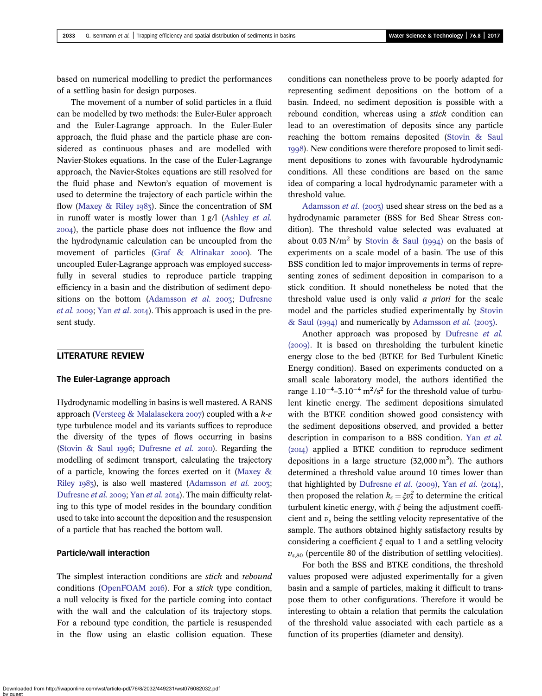based on numerical modelling to predict the performances of a settling basin for design purposes.

The movement of a number of solid particles in a fluid can be modelled by two methods: the Euler-Euler approach and the Euler-Lagrange approach. In the Euler-Euler approach, the fluid phase and the particle phase are considered as continuous phases and are modelled with Navier-Stokes equations. In the case of the Euler-Lagrange approach, the Navier-Stokes equations are still resolved for the fluid phase and Newton's equation of movement is used to determine the trajectory of each particle within the flow ([Maxey & Riley](#page-11-0) 1983). Since the concentration of SM in runoff water is mostly lower than 1 g/l [\(Ashley](#page-11-0) et al. ), the particle phase does not influence the flow and the hydrodynamic calculation can be uncoupled from the movement of particles (Graf  $\&$  Altinakar 2000). The uncoupled Euler-Lagrange approach was employed successfully in several studies to reproduce particle trapping efficiency in a basin and the distribution of sediment depo-sitions on the bottom [\(Adamsson](#page-11-0) et al. 2003; [Dufresne](#page-11-0) *[et al.](#page-11-0)* 2009; Yan *et al.* 2014). This approach is used in the present study.

# LITERATURE REVIEW

### The Euler-Lagrange approach

Hydrodynamic modelling in basins is well mastered. A RANS approach ([Versteeg & Malalasekera](#page-11-0) 2007) coupled with a  $k$ - $\varepsilon$ type turbulence model and its variants suffices to reproduce the diversity of the types of flows occurring in basins [\(Stovin & Saul](#page-11-0) 1996; [Dufresne](#page-11-0) et al. 2010). Regarding the modelling of sediment transport, calculating the trajectory of a particle, knowing the forces exerted on it ([Maxey &](#page-11-0) [Riley](#page-11-0)  $1983$ , is also well mastered ([Adamsson](#page-11-0) et al. 2003; [Dufresne](#page-11-0) [et al.](#page-11-0) 2009; Yan et al. 2014). The main difficulty relating to this type of model resides in the boundary condition used to take into account the deposition and the resuspension of a particle that has reached the bottom wall.

# Particle/wall interaction

The simplest interaction conditions are *stick* and *rebound* conditions ([OpenFOAM](#page-11-0)  $20I6$ ). For a stick type condition, a null velocity is fixed for the particle coming into contact with the wall and the calculation of its trajectory stops. For a rebound type condition, the particle is resuspended in the flow using an elastic collision equation. These conditions can nonetheless prove to be poorly adapted for representing sediment depositions on the bottom of a basin. Indeed, no sediment deposition is possible with a rebound condition, whereas using a stick condition can lead to an overestimation of deposits since any particle reaching the bottom remains deposited ([Stovin & Saul](#page-11-0) ). New conditions were therefore proposed to limit sediment depositions to zones with favourable hydrodynamic conditions. All these conditions are based on the same idea of comparing a local hydrodynamic parameter with a threshold value.

[Adamsson](#page-11-0) *et al.* (2003) used shear stress on the bed as a hydrodynamic parameter (BSS for Bed Shear Stress condition). The threshold value selected was evaluated at about 0.03 N/m<sup>2</sup> by [Stovin & Saul \(](#page-11-0)1994) on the basis of experiments on a scale model of a basin. The use of this BSS condition led to major improvements in terms of representing zones of sediment deposition in comparison to a stick condition. It should nonetheless be noted that the threshold value used is only valid a priori for the scale model and the particles studied experimentally by [Stovin](#page-11-0) [& Saul \(](#page-11-0)1994) and numerically by [Adamsson](#page-11-0) *et al.* (2003).

Another approach was proposed by [Dufresne](#page-11-0) et al.  $(2009)$ . It is based on thresholding the turbulent kinetic energy close to the bed (BTKE for Bed Turbulent Kinetic Energy condition). Based on experiments conducted on a small scale laboratory model, the authors identified the range  $1.10^{-4}$ –3.10<sup>-4</sup> m<sup>2</sup>/s<sup>2</sup> for the threshold value of turbulent kinetic energy. The sediment depositions simulated with the BTKE condition showed good consistency with the sediment depositions observed, and provided a better description in comparison to a BSS condition. Yan [et al.](#page-11-0)  $(20I4)$  applied a BTKE condition to reproduce sediment depositions in a large structure  $(32,000 \text{ m}^3)$ . The authors determined a threshold value around 10 times lower than that highlighted by [Dufresne](#page-11-0) [et al.](#page-11-0) (2009), Yan et al. (2014), then proposed the relation  $k_c = \xi v_s^2$  to determine the critical turbulent kinetic energy, with  $\xi$  being the adjustment coefficient and  $v<sub>s</sub>$  being the settling velocity representative of the sample. The authors obtained highly satisfactory results by considering a coefficient  $\xi$  equal to 1 and a settling velocity  $v_{s,80}$  (percentile 80 of the distribution of settling velocities).

For both the BSS and BTKE conditions, the threshold values proposed were adjusted experimentally for a given basin and a sample of particles, making it difficult to transpose them to other configurations. Therefore it would be interesting to obtain a relation that permits the calculation of the threshold value associated with each particle as a function of its properties (diameter and density).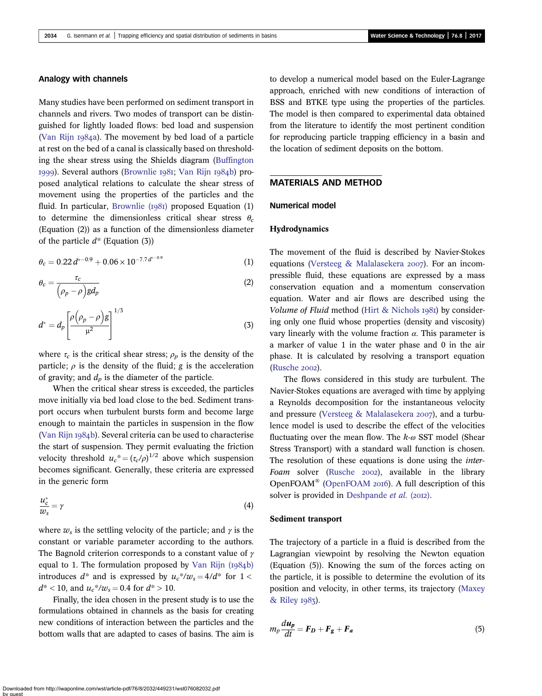# Analogy with channels

Many studies have been performed on sediment transport in channels and rivers. Two modes of transport can be distinguished for lightly loaded flows: bed load and suspension ([Van Rijn](#page-11-0) 1984a). The movement by bed load of a particle at rest on the bed of a canal is classically based on thresholding the shear stress using the Shields diagram ([Buffington](#page-11-0)  $1999$ ). Several authors [\(Brownlie](#page-11-0)  $1981$ ; [Van Rijn](#page-11-0)  $1984b$ ) proposed analytical relations to calculate the shear stress of movement using the properties of the particles and the fluid. In particular, Brownlie  $(1)$  proposed Equation  $(1)$ to determine the dimensionless critical shear stress  $\theta_c$ (Equation (2)) as a function of the dimensionless diameter of the particle  $d^*$  (Equation (3))

$$
\theta_c = 0.22 d^{*-0.9} + 0.06 \times 10^{-7.7 d^{*-0.9}}
$$
\n(1)

$$
\theta_c = \frac{\tau_c}{\left(\rho_p - \rho\right)gd_p} \tag{2}
$$

$$
d^* = d_p \left[ \frac{\rho \left( \rho_p - \rho \right) g}{\mu^2} \right]^{1/3} \tag{3}
$$

where  $\tau_c$  is the critical shear stress;  $\rho_p$  is the density of the particle;  $\rho$  is the density of the fluid; g is the acceleration of gravity; and  $d_p$  is the diameter of the particle.

When the critical shear stress is exceeded, the particles move initially via bed load close to the bed. Sediment transport occurs when turbulent bursts form and become large enough to maintain the particles in suspension in the flow ([Van Rijn](#page-11-0)  $1984b$ ). Several criteria can be used to characterise the start of suspension. They permit evaluating the friction velocity threshold  $u_c^* = (\tau_c/\rho)^{1/2}$  above which suspension becomes significant. Generally, these criteria are expressed in the generic form

$$
\frac{u_c^*}{w_s} = \gamma \tag{4}
$$

where  $w_s$  is the settling velocity of the particle; and  $\gamma$  is the constant or variable parameter according to the authors. The Bagnold criterion corresponds to a constant value of  $\gamma$ equal to 1. The formulation proposed by Van Rijn  $(1984b)$ introduces  $d^*$  and is expressed by  $u_c^*/w_s = 4/d^*$  for  $1 <$  $d^*$  < 10, and  $u_c^*/w_s = 0.4$  for  $d^*$  > 10.

Finally, the idea chosen in the present study is to use the formulations obtained in channels as the basis for creating new conditions of interaction between the particles and the bottom walls that are adapted to cases of basins. The aim is to develop a numerical model based on the Euler-Lagrange approach, enriched with new conditions of interaction of BSS and BTKE type using the properties of the particles. The model is then compared to experimental data obtained from the literature to identify the most pertinent condition for reproducing particle trapping efficiency in a basin and the location of sediment deposits on the bottom.

# MATERIALS AND METHOD

#### Numerical model

#### Hydrodynamics

The movement of the fluid is described by Navier-Stokes equations ([Versteeg & Malalasekera](#page-11-0)  $2007$ ). For an incompressible fluid, these equations are expressed by a mass conservation equation and a momentum conservation equation. Water and air flows are described using the Volume of Fluid method [\(Hirt & Nichols](#page-11-0)  $1981$ ) by considering only one fluid whose properties (density and viscosity) vary linearly with the volume fraction  $\alpha$ . This parameter is a marker of value 1 in the water phase and 0 in the air phase. It is calculated by resolving a transport equation ([Rusche](#page-11-0) 2002).

The flows considered in this study are turbulent. The Navier-Stokes equations are averaged with time by applying a Reynolds decomposition for the instantaneous velocity and pressure ([Versteeg & Malalasekera](#page-11-0) 2007), and a turbulence model is used to describe the effect of the velocities fluctuating over the mean flow. The  $k-\omega$  SST model (Shear Stress Transport) with a standard wall function is chosen. The resolution of these equations is done using the inter-Foam solver ([Rusche](#page-11-0) 2002), available in the library [OpenFOAM](#page-11-0)® (OpenFOAM  $20I6$ ). A full description of this solver is provided in [Deshpande](#page-11-0) et al. (2012).

#### Sediment transport

The trajectory of a particle in a fluid is described from the Lagrangian viewpoint by resolving the Newton equation (Equation (5)). Knowing the sum of the forces acting on the particle, it is possible to determine the evolution of its position and velocity, in other terms, its trajectory [\(Maxey](#page-11-0) [& Riley](#page-11-0) 1983).

$$
m_p \frac{d\boldsymbol{u}_p}{dt} = \boldsymbol{F}_D + \boldsymbol{F}_g + \boldsymbol{F}_a \tag{5}
$$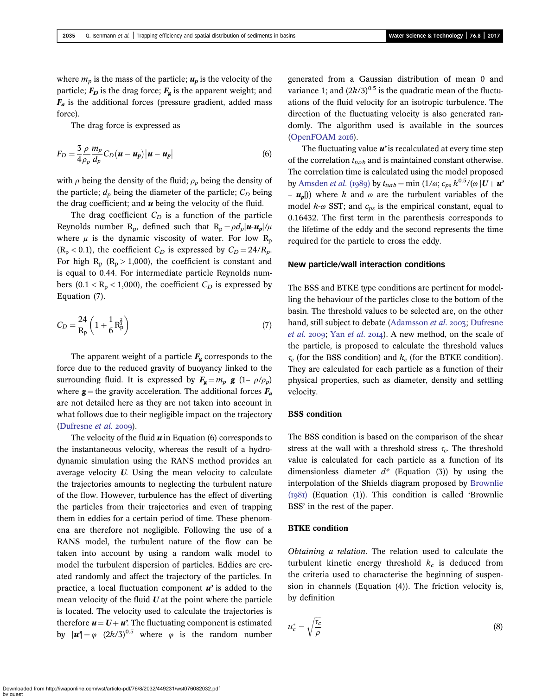where  $m_p$  is the mass of the particle;  $u_p$  is the velocity of the particle;  $F_D$  is the drag force;  $F_g$  is the apparent weight; and  $F_a$  is the additional forces (pressure gradient, added mass force).

The drag force is expressed as

$$
F_D = \frac{3 \rho}{4 \rho_p} \frac{m_p}{d_p} C_D (u - u_p) |u - u_p|
$$
 (6)

with  $\rho$  being the density of the fluid;  $\rho_p$  being the density of the particle;  $d_p$  being the diameter of the particle;  $C_p$  being the drag coefficient; and  $\boldsymbol{u}$  being the velocity of the fluid.

The drag coefficient  $C_D$  is a function of the particle Reynolds number R<sub>p</sub>, defined such that  $R_p = \rho d_p |u - u_p| / \mu$ where  $\mu$  is the dynamic viscosity of water. For low R<sub>p</sub>  $(R_p < 0.1)$ , the coefficient  $C_D$  is expressed by  $C_D = 24/R_p$ . For high  $R_p$  ( $R_p > 1,000$ ), the coefficient is constant and is equal to 0.44. For intermediate particle Reynolds numbers (0.1 <  $R_p$  < 1,000), the coefficient  $C_D$  is expressed by Equation (7).

$$
C_D = \frac{24}{R_p} \left( 1 + \frac{1}{6} R_p^{\frac{2}{3}} \right) \tag{7}
$$

The apparent weight of a particle  $F_{\rm g}$  corresponds to the force due to the reduced gravity of buoyancy linked to the surrounding fluid. It is expressed by  $\mathbf{F_g} = m_p \mathbf{g} (1 - \rho/\rho_p)$ where  $g$  = the gravity acceleration. The additional forces  $F_a$ are not detailed here as they are not taken into account in what follows due to their negligible impact on the trajectory [\(Dufresne](#page-11-0)  $et$  al. 2009).

The velocity of the fluid  $\boldsymbol{u}$  in Equation (6) corresponds to the instantaneous velocity, whereas the result of a hydrodynamic simulation using the RANS method provides an average velocity U. Using the mean velocity to calculate the trajectories amounts to neglecting the turbulent nature of the flow. However, turbulence has the effect of diverting the particles from their trajectories and even of trapping them in eddies for a certain period of time. These phenomena are therefore not negligible. Following the use of a RANS model, the turbulent nature of the flow can be taken into account by using a random walk model to model the turbulent dispersion of particles. Eddies are created randomly and affect the trajectory of the particles. In practice, a local fluctuation component  $u'$  is added to the mean velocity of the fluid  $U$  at the point where the particle is located. The velocity used to calculate the trajectories is therefore  $u = U + u'$ . The fluctuating component is estimated by  $|\mathbf{u}'| = \varphi$  (2k/3)<sup>0.5</sup> where  $\varphi$  is the random number generated from a Gaussian distribution of mean 0 and variance 1; and  $(2k/3)^{0.5}$  is the quadratic mean of the fluctuations of the fluid velocity for an isotropic turbulence. The direction of the fluctuating velocity is also generated randomly. The algorithm used is available in the sources [\(OpenFOAM](#page-11-0) 2016).

The fluctuating value  $u$ ' is recalculated at every time step of the correlation  $t_{turb}$  and is maintained constant otherwise. The correlation time is calculated using the model proposed by [Amsden](#page-11-0) *et al.* (1989) by  $t_{turb} = \min (1/\omega; c_{ps} k^{0.5}/(\omega |U + u^2))$ –  $u_n$ )) where k and  $\omega$  are the turbulent variables of the model  $k-\omega$  SST; and  $c_{ps}$  is the empirical constant, equal to 0.16432. The first term in the parenthesis corresponds to the lifetime of the eddy and the second represents the time required for the particle to cross the eddy.

### New particle/wall interaction conditions

The BSS and BTKE type conditions are pertinent for modelling the behaviour of the particles close to the bottom of the basin. The threshold values to be selected are, on the other hand, still subject to debate [\(Adamsson](#page-11-0) et al. 2003; [Dufresne](#page-11-0) [et al.](#page-11-0) 2009; Yan et al. 2014). A new method, on the scale of the particle, is proposed to calculate the threshold values  $\tau_c$  (for the BSS condition) and  $k_c$  (for the BTKE condition). They are calculated for each particle as a function of their physical properties, such as diameter, density and settling velocity.

# BSS condition

The BSS condition is based on the comparison of the shear stress at the wall with a threshold stress  $\tau_c$ . The threshold value is calculated for each particle as a function of its dimensionless diameter  $d^*$  (Equation (3)) by using the interpolation of the Shields diagram proposed by [Brownlie](#page-11-0)  $(1981)$  (Equation (1)). This condition is called 'Brownlie BSS' in the rest of the paper.

#### BTKE condition

Obtaining a relation. The relation used to calculate the turbulent kinetic energy threshold  $k_c$  is deduced from the criteria used to characterise the beginning of suspension in channels (Equation (4)). The friction velocity is, by definition

$$
u_c^* = \sqrt{\frac{\tau_c}{\rho}}\tag{8}
$$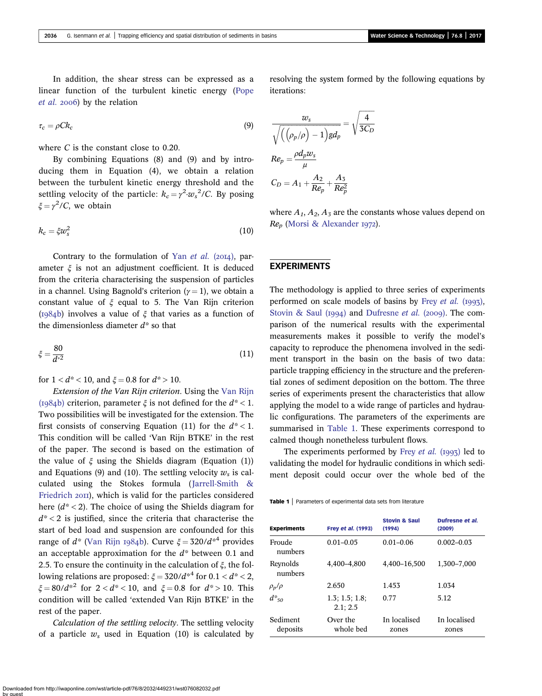In addition, the shear stress can be expressed as a linear function of the turbulent kinetic energy ([Pope](#page-11-0)  $et$  al. 2006) by the relation

$$
\tau_c = \rho C k_c \tag{9}
$$

where C is the constant close to 0.20.

By combining Equations (8) and (9) and by introducing them in Equation (4), we obtain a relation between the turbulent kinetic energy threshold and the settling velocity of the particle:  $k_c = \gamma^2 \cdot w_s^2 / C$ . By posing  $\xi = \gamma^2 / C$ , we obtain

$$
k_c = \xi w_s^2 \tag{10}
$$

Contrary to the formulation of Yan *[et al.](#page-11-0)* (2014), parameter  $\xi$  is not an adjustment coefficient. It is deduced from the criteria characterising the suspension of particles in a channel. Using Bagnold's criterion ( $\gamma = 1$ ), we obtain a constant value of  $\xi$  equal to 5. The Van Rijn criterion ( $I_984b$ ) involves a value of  $\xi$  that varies as a function of the dimensionless diameter  $d^*$  so that

$$
\xi = \frac{80}{d^{*2}}\tag{11}
$$

for  $1 < d^* < 10$ , and  $\xi = 0.8$  for  $d^* > 10$ .

Extension of the Van Rijn criterion. Using the [Van Rijn](#page-11-0) (1984b) criterion, parameter  $\xi$  is not defined for the  $d^*$  < 1. Two possibilities will be investigated for the extension. The first consists of conserving Equation (11) for the  $d^*$  < 1. This condition will be called 'Van Rijn BTKE' in the rest of the paper. The second is based on the estimation of the value of  $\xi$  using the Shields diagram (Equation (1)) and Equations (9) and (10). The settling velocity  $w_s$  is calculated using the Stokes formula ([Jarrell-Smith &](#page-11-0) [Friedrich](#page-11-0) 2011), which is valid for the particles considered here  $(d^*$  < 2). The choice of using the Shields diagram for  $d^*$  < 2 is justified, since the criteria that characterise the start of bed load and suspension are confounded for this range of  $d^*$  ([Van Rijn](#page-11-0) 1984b). Curve  $\xi = 320/d^{*4}$  provides an acceptable approximation for the  $d^*$  between 0.1 and 2.5. To ensure the continuity in the calculation of  $\xi$ , the following relations are proposed:  $\xi = 320/d^{*4}$  for  $0.1 < d^{*} < 2$ ,  $\xi = 80/d^{2}$  for  $2 < d^{*} < 10$ , and  $\xi = 0.8$  for  $d^{*} > 10$ . This condition will be called 'extended Van Rijn BTKE' in the rest of the paper.

Calculation of the settling velocity. The settling velocity of a particle  $w_s$  used in Equation (10) is calculated by resolving the system formed by the following equations by iterations:

$$
\frac{w_s}{\sqrt{\left(\left(\rho_p/\rho\right) - 1\right)gd_p}} = \sqrt{\frac{4}{3C_D}}
$$
\n
$$
Re_p = \frac{\rho d_p w_s}{\mu}
$$
\n
$$
C_D = A_1 + \frac{A_2}{Re_p} + \frac{A_3}{Re_p^2}
$$

where  $A_1$ ,  $A_2$ ,  $A_3$  are the constants whose values depend on  $Re_p$  ([Morsi & Alexander](#page-11-0) 1972).

### EXPERIMENTS

The methodology is applied to three series of experiments performed on scale models of basins by Frey [et al.](#page-11-0)  $(1993)$ , [Stovin & Saul \(](#page-11-0)1994) and [Dufresne](#page-11-0) et al. (2009). The comparison of the numerical results with the experimental measurements makes it possible to verify the model's capacity to reproduce the phenomena involved in the sediment transport in the basin on the basis of two data: particle trapping efficiency in the structure and the preferential zones of sediment deposition on the bottom. The three series of experiments present the characteristics that allow applying the model to a wide range of particles and hydraulic configurations. The parameters of the experiments are summarised in Table 1. These experiments correspond to calmed though nonetheless turbulent flows.

The experiments performed by Frey *[et al.](#page-11-0)* ( $1997$ ) led to validating the model for hydraulic conditions in which sediment deposit could occur over the whole bed of the

Table 1 | Parameters of experimental data sets from literature

| <b>Experiments</b>   | Frey et al. (1993)         | <b>Stovin &amp; Saul</b><br>(1994) | Dufresne et al.<br>(2009) |
|----------------------|----------------------------|------------------------------------|---------------------------|
| Froude<br>numbers    | $0.01 - 0.05$              | $0.01 - 0.06$                      | $0.002 - 0.03$            |
| Reynolds<br>numbers  | 4.400-4.800                | 4,400-16,500                       | 1,300-7,000               |
| $\rho_p/\rho$        | 2.650                      | 1.453                              | 1.034                     |
| $d^*_{50}$           | 1.3: 1.5: 1.8:<br>2.1; 2.5 | 0.77                               | 5.12                      |
| Sediment<br>deposits | Over the<br>whole bed      | In localised<br>zones              | In localised<br>zones     |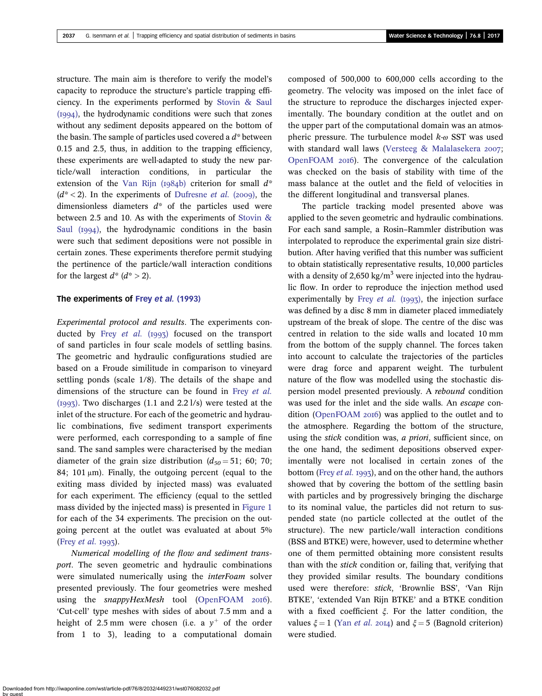structure. The main aim is therefore to verify the model's capacity to reproduce the structure's particle trapping efficiency. In the experiments performed by [Stovin & Saul](#page-11-0)  $(1994)$ , the hydrodynamic conditions were such that zones without any sediment deposits appeared on the bottom of the basin. The sample of particles used covered a  $d^*$  between 0.15 and 2.5, thus, in addition to the trapping efficiency, these experiments are well-adapted to study the new particle/wall interaction conditions, in particular the extension of the [Van Rijn \(](#page-11-0)1984b) criterion for small  $d^*$  $(d^*$  < 2). In the experiments of [Dufresne](#page-11-0) *et al.* (2009), the dimensionless diameters  $d^*$  of the particles used were between 2.5 and 10. As with the experiments of [Stovin &](#page-11-0) Saul  $(1994)$ , the hydrodynamic conditions in the basin were such that sediment depositions were not possible in certain zones. These experiments therefore permit studying the pertinence of the particle/wall interaction conditions for the largest  $d^*$  ( $d^*$  > 2).

### The experiments of Frey et al. [\(1993\)](#page-11-0)

Experimental protocol and results. The experiments conducted by Frey [et al.](#page-11-0)  $(1993)$  focused on the transport of sand particles in four scale models of settling basins. The geometric and hydraulic configurations studied are based on a Froude similitude in comparison to vineyard settling ponds (scale 1/8). The details of the shape and dimensions of the structure can be found in Frey [et al.](#page-11-0)  $(1997)$ . Two discharges  $(1.1$  and  $2.2$  l/s) were tested at the inlet of the structure. For each of the geometric and hydraulic combinations, five sediment transport experiments were performed, each corresponding to a sample of fine sand. The sand samples were characterised by the median diameter of the grain size distribution  $(d_{50} = 51; 60; 70;$ 84; 101 μm). Finally, the outgoing percent (equal to the exiting mass divided by injected mass) was evaluated for each experiment. The efficiency (equal to the settled mass divided by the injected mass) is presented in [Figure 1](#page-6-0) for each of the 34 experiments. The precision on the outgoing percent at the outlet was evaluated at about 5% (Frey *[et al.](#page-11-0)*  $1993$ ).

Numerical modelling of the flow and sediment transport. The seven geometric and hydraulic combinations were simulated numerically using the *interFoam* solver presented previously. The four geometries were meshed using the  $snapp\text{YH}$ exMesh tool ([OpenFOAM](#page-11-0) 2016). 'Cut-cell' type meshes with sides of about 7.5 mm and a height of 2.5 mm were chosen (i.e. a  $y^+$  of the order from 1 to 3), leading to a computational domain composed of 500,000 to 600,000 cells according to the geometry. The velocity was imposed on the inlet face of the structure to reproduce the discharges injected experimentally. The boundary condition at the outlet and on the upper part of the computational domain was an atmospheric pressure. The turbulence model  $k_{\text{CD}}$  SST was used with standard wall laws ([Versteeg & Malalasekera](#page-11-0) 2007; [OpenFOAM](#page-11-0)  $20I6$ ). The convergence of the calculation was checked on the basis of stability with time of the mass balance at the outlet and the field of velocities in the different longitudinal and transversal planes.

The particle tracking model presented above was applied to the seven geometric and hydraulic combinations. For each sand sample, a Rosin–Rammler distribution was interpolated to reproduce the experimental grain size distribution. After having verified that this number was sufficient to obtain statistically representative results, 10,000 particles with a density of  $2,650 \text{ kg/m}^3$  were injected into the hydraulic flow. In order to reproduce the injection method used experimentally by Frey [et al.](#page-11-0)  $(1993)$ , the injection surface was defined by a disc 8 mm in diameter placed immediately upstream of the break of slope. The centre of the disc was centred in relation to the side walls and located 10 mm from the bottom of the supply channel. The forces taken into account to calculate the trajectories of the particles were drag force and apparent weight. The turbulent nature of the flow was modelled using the stochastic dispersion model presented previously. A rebound condition was used for the inlet and the side walls. An escape con-dition ([OpenFOAM](#page-11-0) 2016) was applied to the outlet and to the atmosphere. Regarding the bottom of the structure, using the stick condition was, a priori, sufficient since, on the one hand, the sediment depositions observed experimentally were not localised in certain zones of the bottom (Frey [et al.](#page-11-0) 1993), and on the other hand, the authors showed that by covering the bottom of the settling basin with particles and by progressively bringing the discharge to its nominal value, the particles did not return to suspended state (no particle collected at the outlet of the structure). The new particle/wall interaction conditions (BSS and BTKE) were, however, used to determine whether one of them permitted obtaining more consistent results than with the stick condition or, failing that, verifying that they provided similar results. The boundary conditions used were therefore: stick, 'Brownlie BSS', 'Van Rijn BTKE', 'extended Van Rijn BTKE' and a BTKE condition with a fixed coefficient  $\xi$ . For the latter condition, the values  $\xi = 1$  (Yan *[et al.](#page-11-0)* 2014) and  $\xi = 5$  (Bagnold criterion) were studied.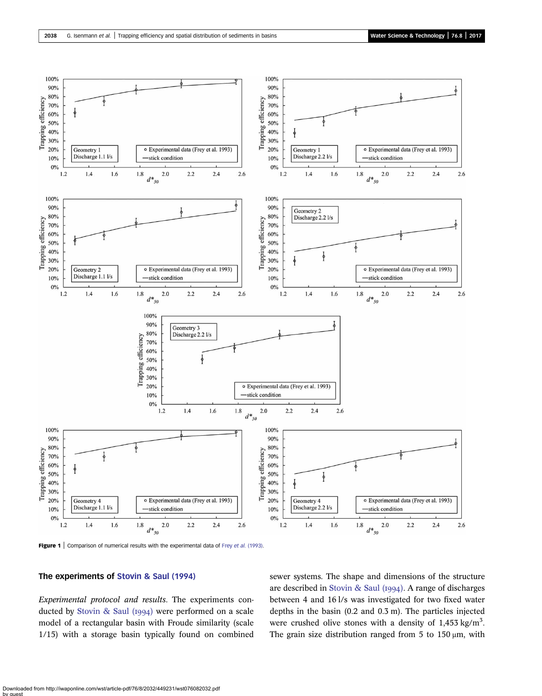<span id="page-6-0"></span>

Figure 1 | Comparison of numerical results with the experimental data of Frey et al. [\(1993\)](#page-11-0).

## The experiments of [Stovin & Saul \(1994\)](#page-11-0)

Experimental protocol and results. The experiments con-ducted by [Stovin & Saul \(](#page-11-0)1994) were performed on a scale model of a rectangular basin with Froude similarity (scale 1/15) with a storage basin typically found on combined sewer systems. The shape and dimensions of the structure are described in Stovin & Saul  $(1994)$ . A range of discharges between 4 and 16 l/s was investigated for two fixed water depths in the basin (0.2 and 0.3 m). The particles injected were crushed olive stones with a density of  $1,453$  kg/m<sup>3</sup>. The grain size distribution ranged from 5 to  $150 \,\mu m$ , with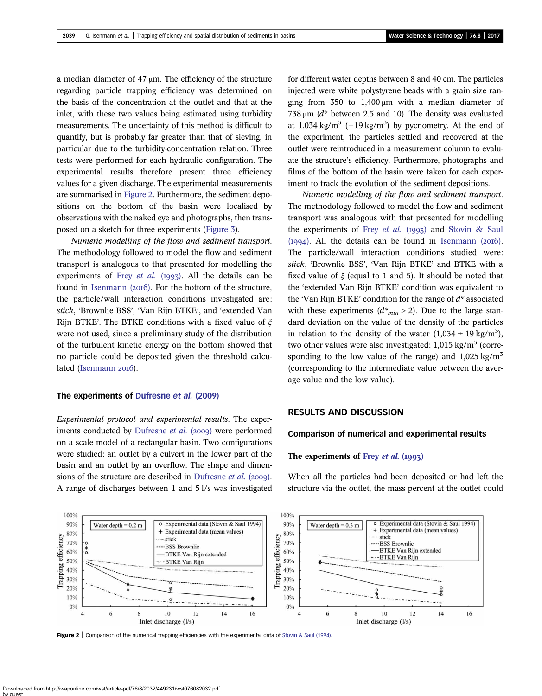<span id="page-7-0"></span>a median diameter of 47 μm. The efficiency of the structure regarding particle trapping efficiency was determined on the basis of the concentration at the outlet and that at the inlet, with these two values being estimated using turbidity measurements. The uncertainty of this method is difficult to quantify, but is probably far greater than that of sieving, in particular due to the turbidity-concentration relation. Three tests were performed for each hydraulic configuration. The experimental results therefore present three efficiency values for a given discharge. The experimental measurements are summarised in Figure 2. Furthermore, the sediment depositions on the bottom of the basin were localised by observations with the naked eye and photographs, then transposed on a sketch for three experiments [\(Figure 3](#page-8-0)).

Numeric modelling of the flow and sediment transport. The methodology followed to model the flow and sediment transport is analogous to that presented for modelling the experiments of Frey [et al.](#page-11-0) (1993). All the details can be found in Isenmann  $(20I6)$ . For the bottom of the structure, the particle/wall interaction conditions investigated are: stick, 'Brownlie BSS', 'Van Rijn BTKE', and 'extended Van Rijn BTKE'. The BTKE conditions with a fixed value of  $\xi$ were not used, since a preliminary study of the distribution of the turbulent kinetic energy on the bottom showed that no particle could be deposited given the threshold calcu-lated ([Isenmann](#page-11-0) 2016).

### The experiments of [Dufresne](#page-11-0) et al. (2009)

Experimental protocol and experimental results. The exper-iments conducted by [Dufresne](#page-11-0) et al. (2009) were performed on a scale model of a rectangular basin. Two configurations were studied: an outlet by a culvert in the lower part of the basin and an outlet by an overflow. The shape and dimen-sions of the structure are described in [Dufresne](#page-11-0)  $et$  al. (2009). A range of discharges between 1 and 5 l/s was investigated for different water depths between 8 and 40 cm. The particles injected were white polystyrene beads with a grain size ranging from 350 to  $1,400 \mu m$  with a median diameter of 738 μm (d\* between 2.5 and 10). The density was evaluated at 1,034 kg/m<sup>3</sup> ( $\pm$ 19 kg/m<sup>3</sup>) by pycnometry. At the end of the experiment, the particles settled and recovered at the outlet were reintroduced in a measurement column to evaluate the structure's efficiency. Furthermore, photographs and films of the bottom of the basin were taken for each experiment to track the evolution of the sediment depositions.

Numeric modelling of the flow and sediment transport. The methodology followed to model the flow and sediment transport was analogous with that presented for modelling the experiments of Frey [et al.](#page-11-0) (1993) and [Stovin & Saul](#page-11-0)  $(1994)$ . All the details can be found in Isenmann  $(2016)$ . The particle/wall interaction conditions studied were: stick, 'Brownlie BSS', 'Van Rijn BTKE' and BTKE with a fixed value of  $\xi$  (equal to 1 and 5). It should be noted that the 'extended Van Rijn BTKE' condition was equivalent to the 'Van Rijn BTKE' condition for the range of  $d^*$  associated with these experiments  $(d<sup>*</sup>_{min} > 2)$ . Due to the large standard deviation on the value of the density of the particles in relation to the density of the water  $(1,034 \pm 19 \text{ kg/m}^3)$ , two other values were also investigated:  $1,015 \text{ kg/m}^3$  (corresponding to the low value of the range) and  $1,025 \text{ kg/m}^3$ (corresponding to the intermediate value between the average value and the low value).

# RESULTS AND DISCUSSION

#### Comparison of numerical and experimental results

#### The experiments of Frey *et al.*  $(1993)$

When all the particles had been deposited or had left the structure via the outlet, the mass percent at the outlet could



Figure 2 | Comparison of the numerical trapping efficiencies with the experimental data of [Stovin & Saul \(1994\)](#page-11-0).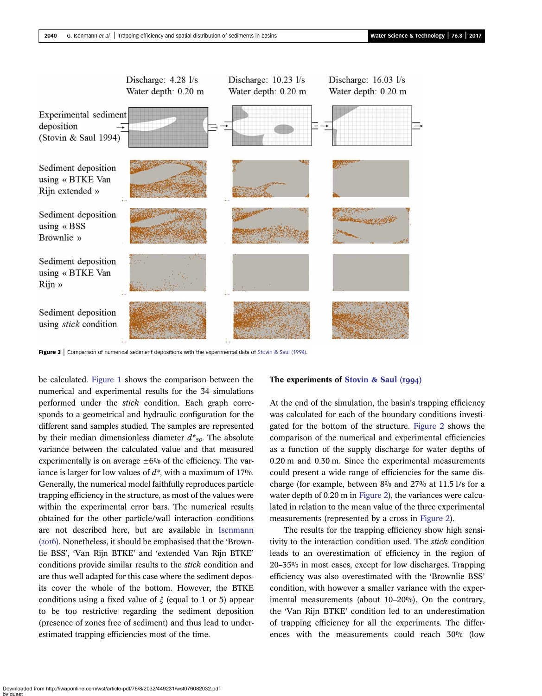<span id="page-8-0"></span>

Figure 3 | Comparison of numerical sediment depositions with the experimental data of [Stovin & Saul \(1994\)](#page-11-0).

be calculated. [Figure 1](#page-6-0) shows the comparison between the numerical and experimental results for the 34 simulations performed under the stick condition. Each graph corresponds to a geometrical and hydraulic configuration for the different sand samples studied. The samples are represented by their median dimensionless diameter  $d^*_{50}$ . The absolute variance between the calculated value and that measured experimentally is on average  $\pm 6\%$  of the efficiency. The variance is larger for low values of  $d^*$ , with a maximum of 17%. Generally, the numerical model faithfully reproduces particle trapping efficiency in the structure, as most of the values were within the experimental error bars. The numerical results obtained for the other particle/wall interaction conditions are not described here, but are available in [Isenmann](#page-11-0) (2016). Nonetheless, it should be emphasised that the 'Brownlie BSS', 'Van Rijn BTKE' and 'extended Van Rijn BTKE' conditions provide similar results to the stick condition and are thus well adapted for this case where the sediment deposits cover the whole of the bottom. However, the BTKE conditions using a fixed value of  $\xi$  (equal to 1 or 5) appear to be too restrictive regarding the sediment deposition (presence of zones free of sediment) and thus lead to underestimated trapping efficiencies most of the time.

#### The experiments of Stovin & Saul  $(1994)$

At the end of the simulation, the basin's trapping efficiency was calculated for each of the boundary conditions investigated for the bottom of the structure. [Figure 2](#page-7-0) shows the comparison of the numerical and experimental efficiencies as a function of the supply discharge for water depths of 0.20 m and 0.30 m. Since the experimental measurements could present a wide range of efficiencies for the same discharge (for example, between 8% and 27% at 11.5 l/s for a water depth of 0.20 m in [Figure 2\)](#page-7-0), the variances were calculated in relation to the mean value of the three experimental measurements (represented by a cross in [Figure 2](#page-7-0)).

The results for the trapping efficiency show high sensitivity to the interaction condition used. The stick condition leads to an overestimation of efficiency in the region of 20–35% in most cases, except for low discharges. Trapping efficiency was also overestimated with the 'Brownlie BSS' condition, with however a smaller variance with the experimental measurements (about 10–20%). On the contrary, the 'Van Rijn BTKE' condition led to an underestimation of trapping efficiency for all the experiments. The differences with the measurements could reach 30% (low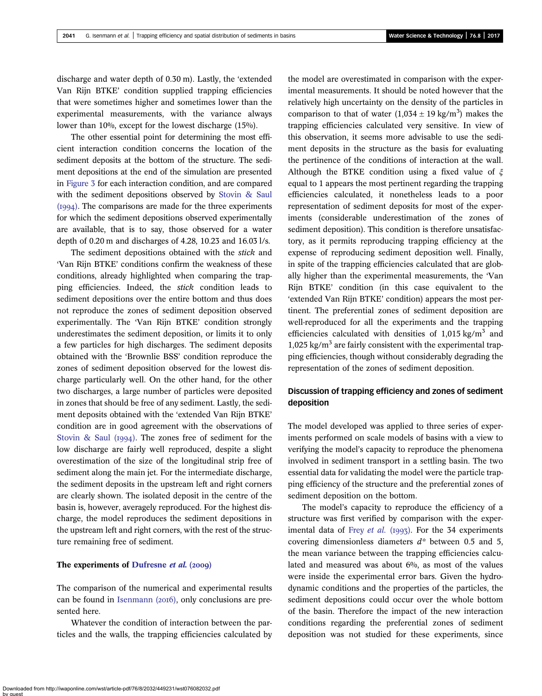discharge and water depth of 0.30 m). Lastly, the 'extended Van Rijn BTKE' condition supplied trapping efficiencies that were sometimes higher and sometimes lower than the experimental measurements, with the variance always lower than 10%, except for the lowest discharge (15%).

The other essential point for determining the most efficient interaction condition concerns the location of the sediment deposits at the bottom of the structure. The sediment depositions at the end of the simulation are presented in [Figure 3](#page-8-0) for each interaction condition, and are compared with the sediment depositions observed by [Stovin & Saul](#page-11-0)  $(1994)$ . The comparisons are made for the three experiments for which the sediment depositions observed experimentally are available, that is to say, those observed for a water depth of 0.20 m and discharges of 4.28, 10.23 and 16.03 l/s.

The sediment depositions obtained with the *stick* and 'Van Rijn BTKE' conditions confirm the weakness of these conditions, already highlighted when comparing the trapping efficiencies. Indeed, the stick condition leads to sediment depositions over the entire bottom and thus does not reproduce the zones of sediment deposition observed experimentally. The 'Van Rijn BTKE' condition strongly underestimates the sediment deposition, or limits it to only a few particles for high discharges. The sediment deposits obtained with the 'Brownlie BSS' condition reproduce the zones of sediment deposition observed for the lowest discharge particularly well. On the other hand, for the other two discharges, a large number of particles were deposited in zones that should be free of any sediment. Lastly, the sediment deposits obtained with the 'extended Van Rijn BTKE' condition are in good agreement with the observations of Stovin & Saul  $(1994)$ . The zones free of sediment for the low discharge are fairly well reproduced, despite a slight overestimation of the size of the longitudinal strip free of sediment along the main jet. For the intermediate discharge, the sediment deposits in the upstream left and right corners are clearly shown. The isolated deposit in the centre of the basin is, however, averagely reproduced. For the highest discharge, the model reproduces the sediment depositions in the upstream left and right corners, with the rest of the structure remaining free of sediment.

### The experiments of [Dufresne](#page-11-0) et al. (2009)

The comparison of the numerical and experimental results can be found in Isenmann  $(20I6)$ , only conclusions are presented here.

Whatever the condition of interaction between the particles and the walls, the trapping efficiencies calculated by the model are overestimated in comparison with the experimental measurements. It should be noted however that the relatively high uncertainty on the density of the particles in comparison to that of water  $(1,034 \pm 19 \text{ kg/m}^3)$  makes the trapping efficiencies calculated very sensitive. In view of this observation, it seems more advisable to use the sediment deposits in the structure as the basis for evaluating the pertinence of the conditions of interaction at the wall. Although the BTKE condition using a fixed value of  $\xi$ equal to 1 appears the most pertinent regarding the trapping efficiencies calculated, it nonetheless leads to a poor representation of sediment deposits for most of the experiments (considerable underestimation of the zones of sediment deposition). This condition is therefore unsatisfactory, as it permits reproducing trapping efficiency at the expense of reproducing sediment deposition well. Finally, in spite of the trapping efficiencies calculated that are globally higher than the experimental measurements, the 'Van Rijn BTKE' condition (in this case equivalent to the 'extended Van Rijn BTKE' condition) appears the most pertinent. The preferential zones of sediment deposition are well-reproduced for all the experiments and the trapping efficiencies calculated with densities of  $1,015 \text{ kg/m}^3$  and 1,025 kg/ $m<sup>3</sup>$  are fairly consistent with the experimental trapping efficiencies, though without considerably degrading the representation of the zones of sediment deposition.

# Discussion of trapping efficiency and zones of sediment deposition

The model developed was applied to three series of experiments performed on scale models of basins with a view to verifying the model's capacity to reproduce the phenomena involved in sediment transport in a settling basin. The two essential data for validating the model were the particle trapping efficiency of the structure and the preferential zones of sediment deposition on the bottom.

The model's capacity to reproduce the efficiency of a structure was first verified by comparison with the experimental data of Frey [et al.](#page-11-0) (1993). For the 34 experiments covering dimensionless diameters  $d^*$  between 0.5 and 5, the mean variance between the trapping efficiencies calculated and measured was about 6%, as most of the values were inside the experimental error bars. Given the hydrodynamic conditions and the properties of the particles, the sediment depositions could occur over the whole bottom of the basin. Therefore the impact of the new interaction conditions regarding the preferential zones of sediment deposition was not studied for these experiments, since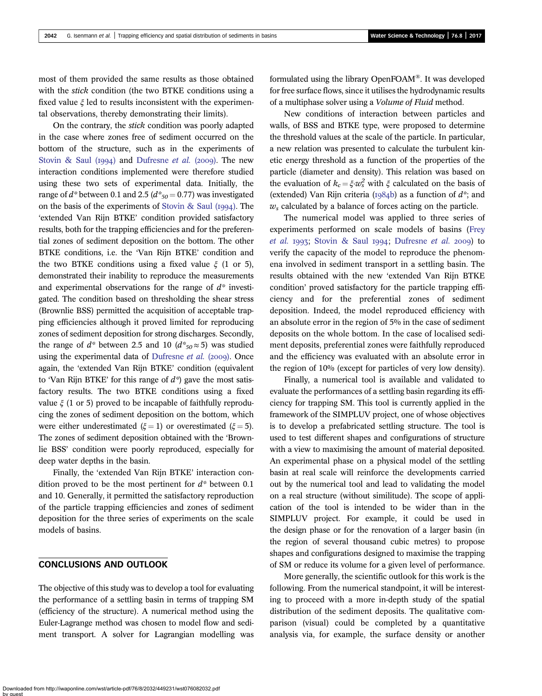most of them provided the same results as those obtained with the *stick* condition (the two BTKE conditions using a fixed value  $\xi$  led to results inconsistent with the experimental observations, thereby demonstrating their limits).

On the contrary, the stick condition was poorly adapted in the case where zones free of sediment occurred on the bottom of the structure, such as in the experiments of [Stovin & Saul \(](#page-11-0)1994) and [Dufresne](#page-11-0) et al. (2009). The new interaction conditions implemented were therefore studied using these two sets of experimental data. Initially, the range of  $d^*$  between 0.1 and 2.5 ( $d^*_{50} = 0.77$ ) was investigated on the basis of the experiments of Stovin & Saul  $(1994)$ . The 'extended Van Rijn BTKE' condition provided satisfactory results, both for the trapping efficiencies and for the preferential zones of sediment deposition on the bottom. The other BTKE conditions, i.e. the 'Van Rijn BTKE' condition and the two BTKE conditions using a fixed value  $\xi$  (1 or 5), demonstrated their inability to reproduce the measurements and experimental observations for the range of  $d^*$  investigated. The condition based on thresholding the shear stress (Brownlie BSS) permitted the acquisition of acceptable trapping efficiencies although it proved limited for reproducing zones of sediment deposition for strong discharges. Secondly, the range of  $d^*$  between 2.5 and 10  $(d^*_{50} \approx 5)$  was studied using the experimental data of [Dufresne](#page-11-0) et al.  $(2009)$ . Once again, the 'extended Van Rijn BTKE' condition (equivalent to 'Van Rijn BTKE' for this range of  $d^*$  gave the most satisfactory results. The two BTKE conditions using a fixed value  $\xi$  (1 or 5) proved to be incapable of faithfully reproducing the zones of sediment deposition on the bottom, which were either underestimated ( $\xi = 1$ ) or overestimated ( $\xi = 5$ ). The zones of sediment deposition obtained with the 'Brownlie BSS' condition were poorly reproduced, especially for deep water depths in the basin.

Finally, the 'extended Van Rijn BTKE' interaction condition proved to be the most pertinent for  $d^*$  between 0.1 and 10. Generally, it permitted the satisfactory reproduction of the particle trapping efficiencies and zones of sediment deposition for the three series of experiments on the scale models of basins.

# CONCLUSIONS AND OUTLOOK

The objective of this study was to develop a tool for evaluating the performance of a settling basin in terms of trapping SM (efficiency of the structure). A numerical method using the Euler-Lagrange method was chosen to model flow and sediment transport. A solver for Lagrangian modelling was formulated using the library OpenFOAM®. It was developed for free surface flows, since it utilises the hydrodynamic results of a multiphase solver using a Volume of Fluid method.

New conditions of interaction between particles and walls, of BSS and BTKE type, were proposed to determine the threshold values at the scale of the particle. In particular, a new relation was presented to calculate the turbulent kinetic energy threshold as a function of the properties of the particle (diameter and density). This relation was based on the evaluation of  $k_c = \xi \cdot w_s^2$  with  $\xi$  calculated on the basis of (extended) Van Rijn criteria ( $\overline{1984b}$ ) as a function of  $d^*$ ; and  $w<sub>s</sub>$  calculated by a balance of forces acting on the particle.

The numerical model was applied to three series of experiments performed on scale models of basins ([Frey](#page-11-0) [et al.](#page-11-0) 1993; [Stovin & Saul](#page-11-0) 1994; [Dufresne](#page-11-0) et al. 2009) to verify the capacity of the model to reproduce the phenomena involved in sediment transport in a settling basin. The results obtained with the new 'extended Van Rijn BTKE condition' proved satisfactory for the particle trapping efficiency and for the preferential zones of sediment deposition. Indeed, the model reproduced efficiency with an absolute error in the region of 5% in the case of sediment deposits on the whole bottom. In the case of localised sediment deposits, preferential zones were faithfully reproduced and the efficiency was evaluated with an absolute error in the region of 10% (except for particles of very low density).

Finally, a numerical tool is available and validated to evaluate the performances of a settling basin regarding its efficiency for trapping SM. This tool is currently applied in the framework of the SIMPLUV project, one of whose objectives is to develop a prefabricated settling structure. The tool is used to test different shapes and configurations of structure with a view to maximising the amount of material deposited. An experimental phase on a physical model of the settling basin at real scale will reinforce the developments carried out by the numerical tool and lead to validating the model on a real structure (without similitude). The scope of application of the tool is intended to be wider than in the SIMPLUV project. For example, it could be used in the design phase or for the renovation of a larger basin (in the region of several thousand cubic metres) to propose shapes and configurations designed to maximise the trapping of SM or reduce its volume for a given level of performance.

More generally, the scientific outlook for this work is the following. From the numerical standpoint, it will be interesting to proceed with a more in-depth study of the spatial distribution of the sediment deposits. The qualitative comparison (visual) could be completed by a quantitative analysis via, for example, the surface density or another